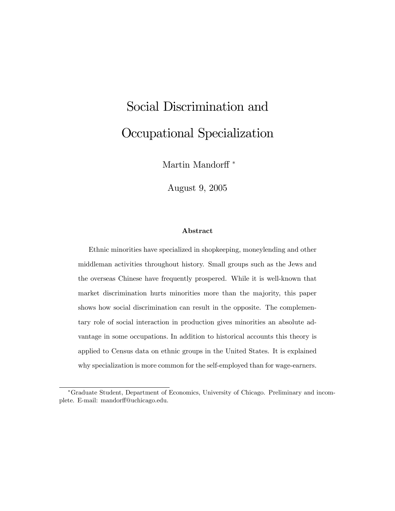# Social Discrimination and Occupational Specialization

Martin Mandorff $^{\ast}$ 

August 9, 2005

#### Abstract

Ethnic minorities have specialized in shopkeeping, moneylending and other middleman activities throughout history. Small groups such as the Jews and the overseas Chinese have frequently prospered. While it is well-known that market discrimination hurts minorities more than the majority, this paper shows how social discrimination can result in the opposite. The complementary role of social interaction in production gives minorities an absolute advantage in some occupations. In addition to historical accounts this theory is applied to Census data on ethnic groups in the United States. It is explained why specialization is more common for the self-employed than for wage-earners.

Graduate Student, Department of Economics, University of Chicago. Preliminary and incomplete. E-mail: mandorff@uchicago.edu.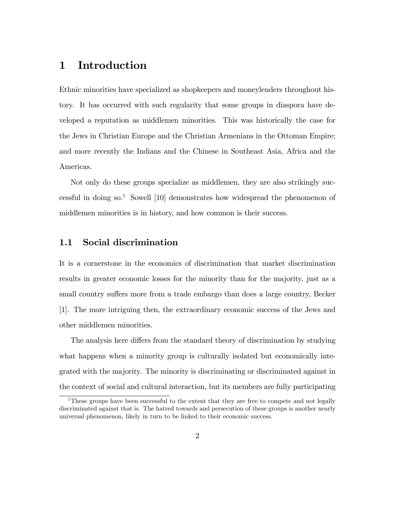## 1 Introduction

Ethnic minorities have specialized as shopkeepers and moneylenders throughout history. It has occurred with such regularity that some groups in diaspora have developed a reputation as middlemen minorities. This was historically the case for the Jews in Christian Europe and the Christian Armenians in the Ottoman Empire; and more recently the Indians and the Chinese in Southeast Asia, Africa and the Americas.

Not only do these groups specialize as middlemen, they are also strikingly successful in doing  $\mathrm{so}^1$  Sowell [10] demonstrates how widespread the phenomenon of middlemen minorities is in history, and how common is their success.

#### 1.1 Social discrimination

It is a cornerstone in the economics of discrimination that market discrimination results in greater economic losses for the minority than for the majority, just as a small country suffers more from a trade embargo than does a large country, Becker [1]. The more intriguing then, the extraordinary economic success of the Jews and other middlemen minorities.

The analysis here differs from the standard theory of discrimination by studying what happens when a minority group is culturally isolated but economically integrated with the majority. The minority is discriminating or discriminated against in the context of social and cultural interaction, but its members are fully participating

<sup>&</sup>lt;sup>1</sup>These groups have been successful to the extent that they are free to compete and not legally discriminated against that is. The hatred towards and persecution of these groups is another nearly universal phenomenon, likely in turn to be linked to their economic success.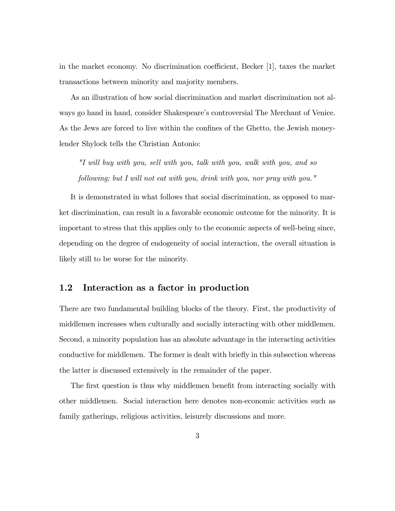in the market economy. No discrimination coefficient, Becker  $[1]$ , taxes the market transactions between minority and majority members.

As an illustration of how social discrimination and market discrimination not always go hand in hand, consider Shakespeare's controversial The Merchant of Venice. As the Jews are forced to live within the confines of the Ghetto, the Jewish moneylender Shylock tells the Christian Antonio:

"I will buy with you, sell with you, talk with you, walk with you, and so following; but I will not eat with you, drink with you, nor pray with you."

It is demonstrated in what follows that social discrimination, as opposed to market discrimination, can result in a favorable economic outcome for the minority. It is important to stress that this applies only to the economic aspects of well-being since, depending on the degree of endogeneity of social interaction, the overall situation is likely still to be worse for the minority.

#### 1.2 Interaction as a factor in production

There are two fundamental building blocks of the theory. First, the productivity of middlemen increases when culturally and socially interacting with other middlemen. Second, a minority population has an absolute advantage in the interacting activities conductive for middlemen. The former is dealt with briefly in this subsection whereas the latter is discussed extensively in the remainder of the paper.

The first question is thus why middlemen benefit from interacting socially with other middlemen. Social interaction here denotes non-economic activities such as family gatherings, religious activities, leisurely discussions and more.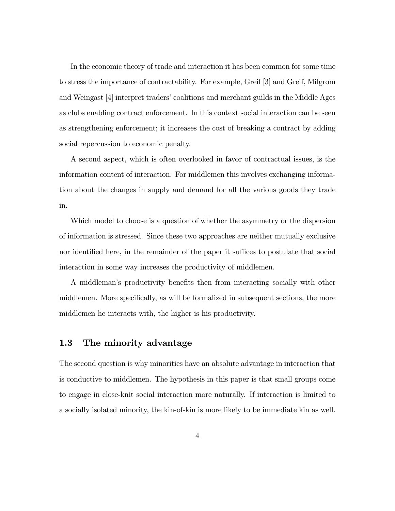In the economic theory of trade and interaction it has been common for some time to stress the importance of contractability. For example, Greif [3] and Greif, Milgrom and Weingast [4] interpret tradersícoalitions and merchant guilds in the Middle Ages as clubs enabling contract enforcement. In this context social interaction can be seen as strengthening enforcement; it increases the cost of breaking a contract by adding social repercussion to economic penalty.

A second aspect, which is often overlooked in favor of contractual issues, is the information content of interaction. For middlemen this involves exchanging information about the changes in supply and demand for all the various goods they trade in.

Which model to choose is a question of whether the asymmetry or the dispersion of information is stressed. Since these two approaches are neither mutually exclusive nor identified here, in the remainder of the paper it suffices to postulate that social interaction in some way increases the productivity of middlemen.

A middleman's productivity benefits then from interacting socially with other middlemen. More specifically, as will be formalized in subsequent sections, the more middlemen he interacts with, the higher is his productivity.

#### 1.3 The minority advantage

The second question is why minorities have an absolute advantage in interaction that is conductive to middlemen. The hypothesis in this paper is that small groups come to engage in close-knit social interaction more naturally. If interaction is limited to a socially isolated minority, the kin-of-kin is more likely to be immediate kin as well.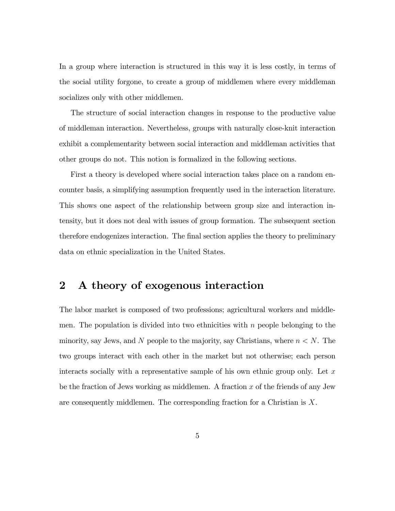In a group where interaction is structured in this way it is less costly, in terms of the social utility forgone, to create a group of middlemen where every middleman socializes only with other middlemen.

The structure of social interaction changes in response to the productive value of middleman interaction. Nevertheless, groups with naturally close-knit interaction exhibit a complementarity between social interaction and middleman activities that other groups do not. This notion is formalized in the following sections.

First a theory is developed where social interaction takes place on a random encounter basis, a simplifying assumption frequently used in the interaction literature. This shows one aspect of the relationship between group size and interaction intensity, but it does not deal with issues of group formation. The subsequent section therefore endogenizes interaction. The final section applies the theory to preliminary data on ethnic specialization in the United States.

# 2 A theory of exogenous interaction

The labor market is composed of two professions; agricultural workers and middlemen. The population is divided into two ethnicities with  $n$  people belonging to the minority, say Jews, and N people to the majority, say Christians, where  $n < N$ . The two groups interact with each other in the market but not otherwise; each person interacts socially with a representative sample of his own ethnic group only. Let  $x$ be the fraction of Jews working as middlemen. A fraction  $x$  of the friends of any Jew are consequently middlemen. The corresponding fraction for a Christian is X.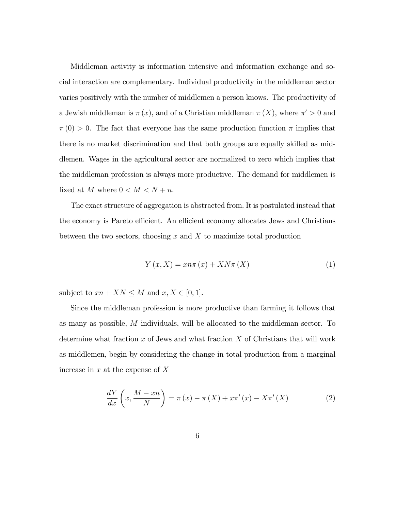Middleman activity is information intensive and information exchange and social interaction are complementary. Individual productivity in the middleman sector varies positively with the number of middlemen a person knows. The productivity of a Jewish middleman is  $\pi(x)$ , and of a Christian middleman  $\pi(X)$ , where  $\pi' > 0$  and  $\pi(0) > 0$ . The fact that everyone has the same production function  $\pi$  implies that there is no market discrimination and that both groups are equally skilled as middlemen. Wages in the agricultural sector are normalized to zero which implies that the middleman profession is always more productive. The demand for middlemen is fixed at  $M$  where  $0 < M < N + n$ .

The exact structure of aggregation is abstracted from. It is postulated instead that the economy is Pareto efficient. An efficient economy allocates Jews and Christians between the two sectors, choosing  $x$  and  $\overline{X}$  to maximize total production

$$
Y(x, X) = x n \pi(x) + X N \pi(X)
$$
\n<sup>(1)</sup>

subject to  $xn + XN \leq M$  and  $x, X \in [0, 1]$ .

Since the middleman profession is more productive than farming it follows that as many as possible, M individuals, will be allocated to the middleman sector. To determine what fraction  $x$  of Jews and what fraction  $X$  of Christians that will work as middlemen, begin by considering the change in total production from a marginal increase in  $x$  at the expense of  $X$ 

$$
\frac{dY}{dx}\left(x,\frac{M-xn}{N}\right) = \pi(x) - \pi(X) + x\pi'(x) - X\pi'(X) \tag{2}
$$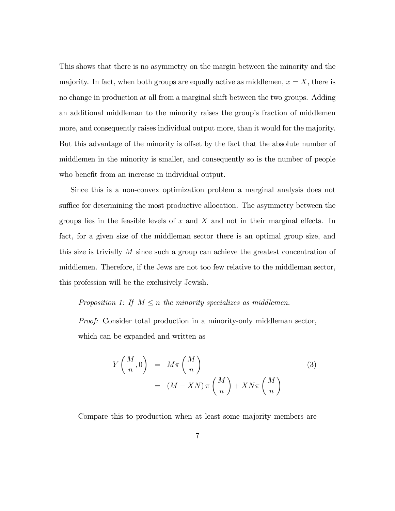This shows that there is no asymmetry on the margin between the minority and the majority. In fact, when both groups are equally active as middlemen,  $x = X$ , there is no change in production at all from a marginal shift between the two groups. Adding an additional middleman to the minority raises the group's fraction of middlemen more, and consequently raises individual output more, than it would for the majority. But this advantage of the minority is offset by the fact that the absolute number of middlemen in the minority is smaller, and consequently so is the number of people who benefit from an increase in individual output.

Since this is a non-convex optimization problem a marginal analysis does not suffice for determining the most productive allocation. The asymmetry between the groups lies in the feasible levels of x and X and not in their marginal effects. In fact, for a given size of the middleman sector there is an optimal group size, and this size is trivially M since such a group can achieve the greatest concentration of middlemen. Therefore, if the Jews are not too few relative to the middleman sector, this profession will be the exclusively Jewish.

#### Proposition 1: If  $M \leq n$  the minority specializes as middlemen.

Proof: Consider total production in a minority-only middleman sector, which can be expanded and written as

$$
Y\left(\frac{M}{n},0\right) = M\pi\left(\frac{M}{n}\right)
$$
  
=  $(M - XN)\pi\left(\frac{M}{n}\right) + XN\pi\left(\frac{M}{n}\right)$  (3)

Compare this to production when at least some majority members are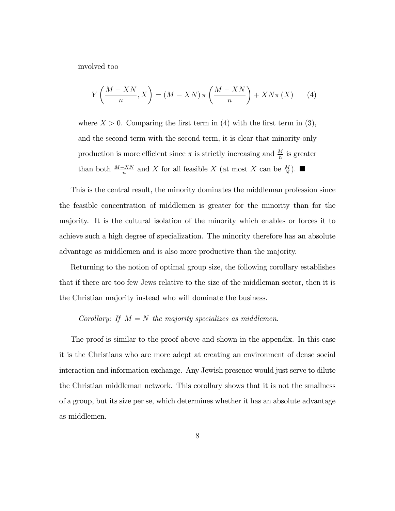involved too

$$
Y\left(\frac{M-XN}{n},X\right) = (M- XN)\,\pi\left(\frac{M- XN}{n}\right) + XN\pi\left(X\right) \tag{4}
$$

where  $X > 0$ . Comparing the first term in (4) with the first term in (3), and the second term with the second term, it is clear that minority-only production is more efficient since  $\pi$  is strictly increasing and  $\frac{M}{n}$  is greater than both  $\frac{M-XX}{n}$  and X for all feasible X (at most X can be  $\frac{M}{N}$ ).

This is the central result, the minority dominates the middleman profession since the feasible concentration of middlemen is greater for the minority than for the majority. It is the cultural isolation of the minority which enables or forces it to achieve such a high degree of specialization. The minority therefore has an absolute advantage as middlemen and is also more productive than the majority.

Returning to the notion of optimal group size, the following corollary establishes that if there are too few Jews relative to the size of the middleman sector, then it is the Christian majority instead who will dominate the business.

#### Corollary: If  $M = N$  the majority specializes as middlemen.

The proof is similar to the proof above and shown in the appendix. In this case it is the Christians who are more adept at creating an environment of dense social interaction and information exchange. Any Jewish presence would just serve to dilute the Christian middleman network. This corollary shows that it is not the smallness of a group, but its size per se, which determines whether it has an absolute advantage as middlemen.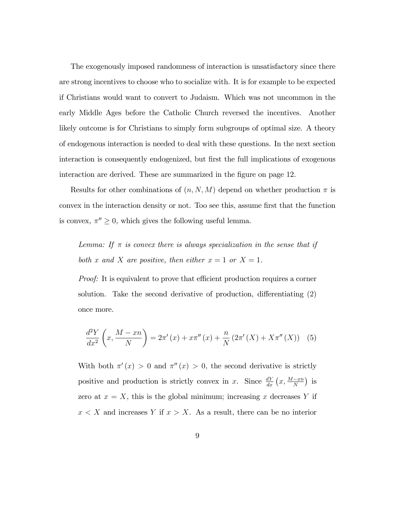The exogenously imposed randomness of interaction is unsatisfactory since there are strong incentives to choose who to socialize with. It is for example to be expected if Christians would want to convert to Judaism. Which was not uncommon in the early Middle Ages before the Catholic Church reversed the incentives. Another likely outcome is for Christians to simply form subgroups of optimal size. A theory of endogenous interaction is needed to deal with these questions. In the next section interaction is consequently endogenized, but first the full implications of exogenous interaction are derived. These are summarized in the figure on page 12.

Results for other combinations of  $(n, N, M)$  depend on whether production  $\pi$  is convex in the interaction density or not. Too see this, assume first that the function is convex,  $\pi'' \geq 0$ , which gives the following useful lemma.

Lemma: If  $\pi$  is convex there is always specialization in the sense that if both x and X are positive, then either  $x = 1$  or  $X = 1$ .

*Proof:* It is equivalent to prove that efficient production requires a corner solution. Take the second derivative of production, differentiating  $(2)$ once more.

$$
\frac{d^2Y}{dx^2}\left(x,\frac{M-xn}{N}\right) = 2\pi'(x) + x\pi''(x) + \frac{n}{N}\left(2\pi'(X) + X\pi''(X)\right) \tag{5}
$$

With both  $\pi'(x) > 0$  and  $\pi''(x) > 0$ , the second derivative is strictly positive and production is strictly convex in x. Since  $\frac{dY}{dx}(x, \frac{M-xn}{N})$  is zero at  $x = X$ , this is the global minimum; increasing x decreases Y if  $x < X$  and increases Y if  $x > X$ . As a result, there can be no interior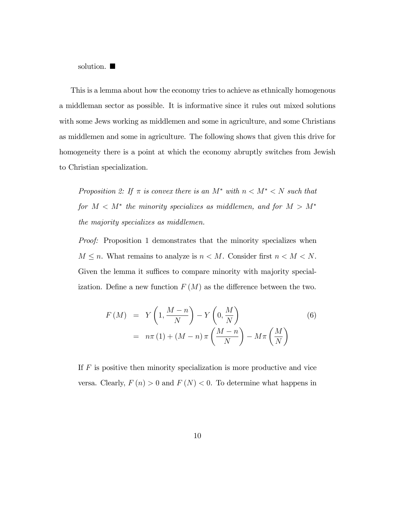solution.  $\blacksquare$ 

This is a lemma about how the economy tries to achieve as ethnically homogenous a middleman sector as possible. It is informative since it rules out mixed solutions with some Jews working as middlemen and some in agriculture, and some Christians as middlemen and some in agriculture. The following shows that given this drive for homogeneity there is a point at which the economy abruptly switches from Jewish to Christian specialization.

Proposition 2: If  $\pi$  is convex there is an  $M^*$  with  $n < M^* < N$  such that for  $M < M^*$  the minority specializes as middlemen, and for  $M > M^*$ the majority specializes as middlemen.

Proof: Proposition 1 demonstrates that the minority specializes when  $M \leq n$ . What remains to analyze is  $n < M$ . Consider first  $n < M < N$ . Given the lemma it suffices to compare minority with majority specialization. Define a new function  $F(M)$  as the difference between the two.

$$
F(M) = Y\left(1, \frac{M-n}{N}\right) - Y\left(0, \frac{M}{N}\right)
$$
  
=  $n\pi(1) + (M-n)\pi\left(\frac{M-n}{N}\right) - M\pi\left(\frac{M}{N}\right)$  (6)

If F is positive then minority specialization is more productive and vice versa. Clearly,  $F(n) > 0$  and  $F(N) < 0$ . To determine what happens in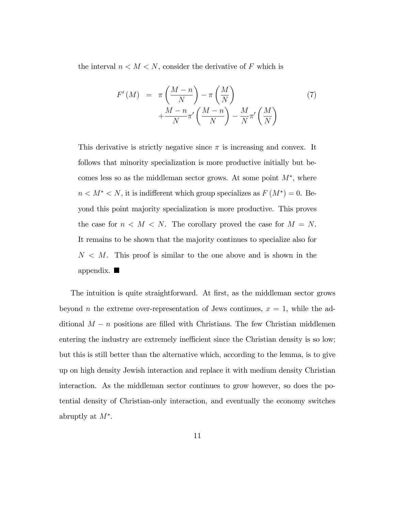the interval  $n < M < N$ , consider the derivative of F which is

$$
F'(M) = \pi \left(\frac{M-n}{N}\right) - \pi \left(\frac{M}{N}\right) + \frac{M-n}{N} \pi' \left(\frac{M-n}{N}\right) - \frac{M}{N} \pi' \left(\frac{M}{N}\right)
$$
\n(7)

This derivative is strictly negative since  $\pi$  is increasing and convex. It follows that minority specialization is more productive initially but becomes less so as the middleman sector grows. At some point  $M^*$ , where  $n < M^* < N$ , it is indifferent which group specializes as  $F(M^*) = 0$ . Beyond this point majority specialization is more productive. This proves the case for  $n < M < N$ . The corollary proved the case for  $M = N$ . It remains to be shown that the majority continues to specialize also for  $N < M$ . This proof is similar to the one above and is shown in the appendix.  $\blacksquare$ 

The intuition is quite straightforward. At first, as the middleman sector grows beyond *n* the extreme over-representation of Jews continues,  $x = 1$ , while the additional  $M - n$  positions are filled with Christians. The few Christian middlemen entering the industry are extremely inefficient since the Christian density is so low; but this is still better than the alternative which, according to the lemma, is to give up on high density Jewish interaction and replace it with medium density Christian interaction. As the middleman sector continues to grow however, so does the potential density of Christian-only interaction, and eventually the economy switches abruptly at  $M^*$ .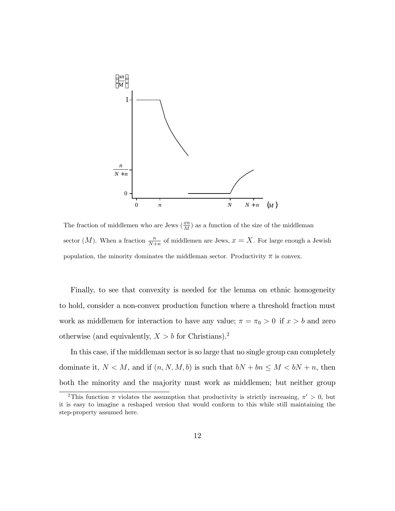

The fraction of middlemen who are Jews  $(\frac{x}{M})$  as a function of the size of the middleman sector  $(M)$ . When a fraction  $\frac{n}{N+n}$  of middlemen are Jews,  $x = X$ . For large enough a Jewish population, the minority dominates the middleman sector. Productivity  $\pi$  is convex.

Finally, to see that convexity is needed for the lemma on ethnic homogeneity to hold, consider a non-convex production function where a threshold fraction must work as middlemen for interaction to have any value;  $\pi = \pi_0 > 0$  if  $x > b$  and zero otherwise (and equivalently,  $X > b$  for Christians).<sup>2</sup>

In this case, if the middleman sector is so large that no single group can completely dominate it,  $N < M$ , and if  $(n, N, M, b)$  is such that  $bN + bn \le M < bN + n$ , then both the minority and the majority must work as middlemen; but neither group

<sup>&</sup>lt;sup>2</sup>This function  $\pi$  violates the assumption that productivity is strictly increasing,  $\pi' > 0$ , but it is easy to imagine a reshaped version that would conform to this while still maintaining the step-property assumed here.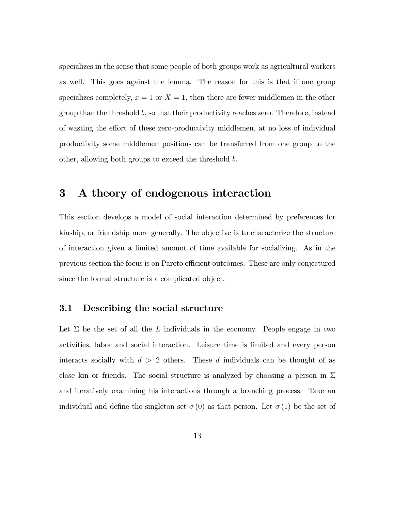specializes in the sense that some people of both groups work as agricultural workers as well. This goes against the lemma. The reason for this is that if one group specializes completely,  $x = 1$  or  $X = 1$ , then there are fewer middlemen in the other group than the threshold  $b$ , so that their productivity reaches zero. Therefore, instead of wasting the effort of these zero-productivity middlemen, at no loss of individual productivity some middlemen positions can be transferred from one group to the other, allowing both groups to exceed the threshold b.

## 3 A theory of endogenous interaction

This section develops a model of social interaction determined by preferences for kinship, or friendship more generally. The objective is to characterize the structure of interaction given a limited amount of time available for socializing. As in the previous section the focus is on Pareto efficient outcomes. These are only conjectured since the formal structure is a complicated object.

#### 3.1 Describing the social structure

Let  $\Sigma$  be the set of all the L individuals in the economy. People engage in two activities, labor and social interaction. Leisure time is limited and every person interacts socially with  $d > 2$  others. These d individuals can be thought of as close kin or friends. The social structure is analyzed by choosing a person in  $\Sigma$ and iteratively examining his interactions through a branching process. Take an individual and define the singleton set  $\sigma(0)$  as that person. Let  $\sigma(1)$  be the set of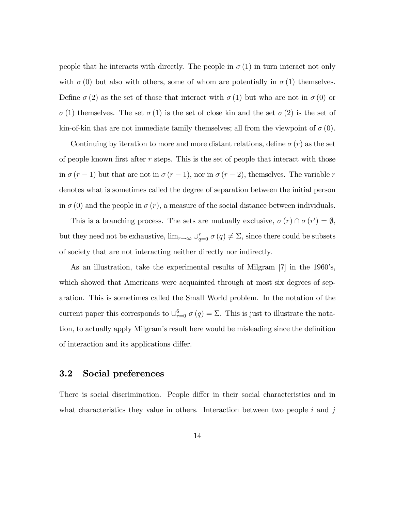people that he interacts with directly. The people in  $\sigma(1)$  in turn interact not only with  $\sigma(0)$  but also with others, some of whom are potentially in  $\sigma(1)$  themselves. Define  $\sigma(2)$  as the set of those that interact with  $\sigma(1)$  but who are not in  $\sigma(0)$  or  $\sigma(1)$  themselves. The set  $\sigma(1)$  is the set of close kin and the set  $\sigma(2)$  is the set of kin-of-kin that are not immediate family themselves; all from the viewpoint of  $\sigma(0)$ .

Continuing by iteration to more and more distant relations, define  $\sigma(r)$  as the set of people known first after  $r$  steps. This is the set of people that interact with those in  $\sigma (r - 1)$  but that are not in  $\sigma (r - 1)$ , nor in  $\sigma (r - 2)$ , themselves. The variable r denotes what is sometimes called the degree of separation between the initial person in  $\sigma(0)$  and the people in  $\sigma(r)$ , a measure of the social distance between individuals.

This is a branching process. The sets are mutually exclusive,  $\sigma(r) \cap \sigma(r') = \emptyset$ , but they need not be exhaustive,  $\lim_{r\to\infty} \bigcup_{q=0}^r \sigma(q) \neq \Sigma$ , since there could be subsets of society that are not interacting neither directly nor indirectly.

As an illustration, take the experimental results of Milgram [7] in the 1960's, which showed that Americans were acquainted through at most six degrees of separation. This is sometimes called the Small World problem. In the notation of the current paper this corresponds to  $\cup_{r=0}^6 \sigma(q) = \Sigma$ . This is just to illustrate the notation, to actually apply Milgram's result here would be misleading since the definition of interaction and its applications differ.

#### 3.2 Social preferences

There is social discrimination. People differ in their social characteristics and in what characteristics they value in others. Interaction between two people  $i$  and  $j$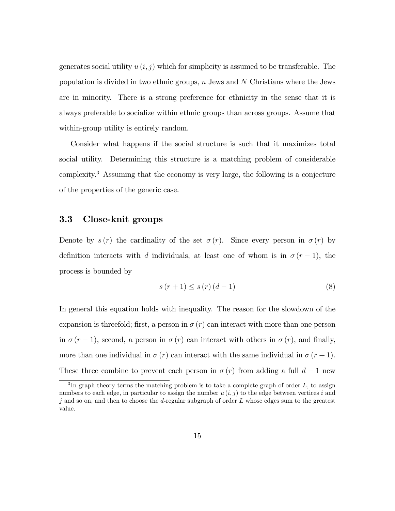generates social utility  $u(i, j)$  which for simplicity is assumed to be transferable. The population is divided in two ethnic groups,  $n$  Jews and  $N$  Christians where the Jews are in minority. There is a strong preference for ethnicity in the sense that it is always preferable to socialize within ethnic groups than across groups. Assume that within-group utility is entirely random.

Consider what happens if the social structure is such that it maximizes total social utility. Determining this structure is a matching problem of considerable complexity.<sup>3</sup> Assuming that the economy is very large, the following is a conjecture of the properties of the generic case.

#### 3.3 Close-knit groups

Denote by  $s(r)$  the cardinality of the set  $\sigma(r)$ . Since every person in  $\sigma(r)$  by definition interacts with d individuals, at least one of whom is in  $\sigma(r-1)$ , the process is bounded by

$$
s(r+1) \le s(r) (d-1)
$$
\n<sup>(8)</sup>

In general this equation holds with inequality. The reason for the slowdown of the expansion is threefold; first, a person in  $\sigma(r)$  can interact with more than one person in  $\sigma (r - 1)$ , second, a person in  $\sigma (r)$  can interact with others in  $\sigma (r)$ , and finally, more than one individual in  $\sigma(r)$  can interact with the same individual in  $\sigma(r+1)$ . These three combine to prevent each person in  $\sigma(r)$  from adding a full  $d-1$  new

<sup>&</sup>lt;sup>3</sup>In graph theory terms the matching problem is to take a complete graph of order  $L$ , to assign numbers to each edge, in particular to assign the number  $u(i, j)$  to the edge between vertices i and j and so on, and then to choose the d-regular subgraph of order  $L$  whose edges sum to the greatest value.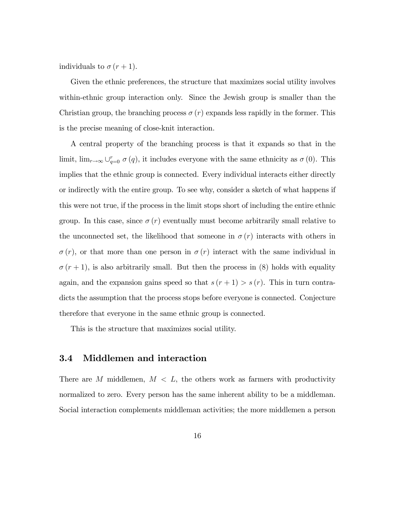individuals to  $\sigma (r+1)$ .

Given the ethnic preferences, the structure that maximizes social utility involves within-ethnic group interaction only. Since the Jewish group is smaller than the Christian group, the branching process  $\sigma(r)$  expands less rapidly in the former. This is the precise meaning of close-knit interaction.

A central property of the branching process is that it expands so that in the limit,  $\lim_{r\to\infty} \bigcup_{q=0}^r \sigma(q)$ , it includes everyone with the same ethnicity as  $\sigma(0)$ . This implies that the ethnic group is connected. Every individual interacts either directly or indirectly with the entire group. To see why, consider a sketch of what happens if this were not true, if the process in the limit stops short of including the entire ethnic group. In this case, since  $\sigma(r)$  eventually must become arbitrarily small relative to the unconnected set, the likelihood that someone in  $\sigma(r)$  interacts with others in  $\sigma(r)$ , or that more than one person in  $\sigma(r)$  interact with the same individual in  $\sigma(r+1)$ , is also arbitrarily small. But then the process in (8) holds with equality again, and the expansion gains speed so that  $s(r + 1) > s(r)$ . This in turn contradicts the assumption that the process stops before everyone is connected. Conjecture therefore that everyone in the same ethnic group is connected.

This is the structure that maximizes social utility.

#### 3.4 Middlemen and interaction

There are M middlemen,  $M < L$ , the others work as farmers with productivity normalized to zero. Every person has the same inherent ability to be a middleman. Social interaction complements middleman activities; the more middlemen a person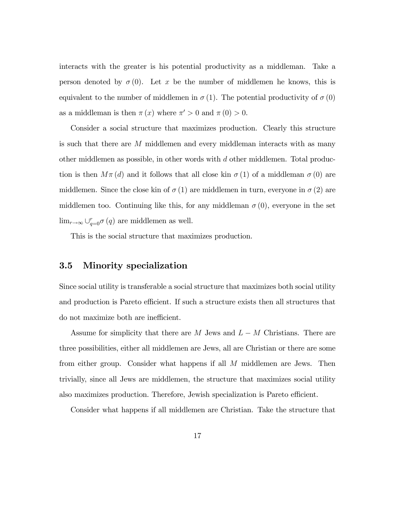interacts with the greater is his potential productivity as a middleman. Take a person denoted by  $\sigma(0)$ . Let x be the number of middlemen he knows, this is equivalent to the number of middlemen in  $\sigma(1)$ . The potential productivity of  $\sigma(0)$ as a middleman is then  $\pi(x)$  where  $\pi' > 0$  and  $\pi(0) > 0$ .

Consider a social structure that maximizes production. Clearly this structure is such that there are M middlemen and every middleman interacts with as many other middlemen as possible, in other words with d other middlemen. Total production is then  $M\pi(d)$  and it follows that all close kin  $\sigma(1)$  of a middleman  $\sigma(0)$  are middlemen. Since the close kin of  $\sigma(1)$  are middlemen in turn, everyone in  $\sigma(2)$  are middlemen too. Continuing like this, for any middleman  $\sigma(0)$ , everyone in the set  $\lim_{r \to \infty} \bigcup_{q=0}^r \sigma(q)$  are middlemen as well.

This is the social structure that maximizes production.

#### 3.5 Minority specialization

Since social utility is transferable a social structure that maximizes both social utility and production is Pareto efficient. If such a structure exists then all structures that do not maximize both are inefficient.

Assume for simplicity that there are  $M$  Jews and  $L - M$  Christians. There are three possibilities, either all middlemen are Jews, all are Christian or there are some from either group. Consider what happens if all M middlemen are Jews. Then trivially, since all Jews are middlemen, the structure that maximizes social utility also maximizes production. Therefore, Jewish specialization is Pareto efficient.

Consider what happens if all middlemen are Christian. Take the structure that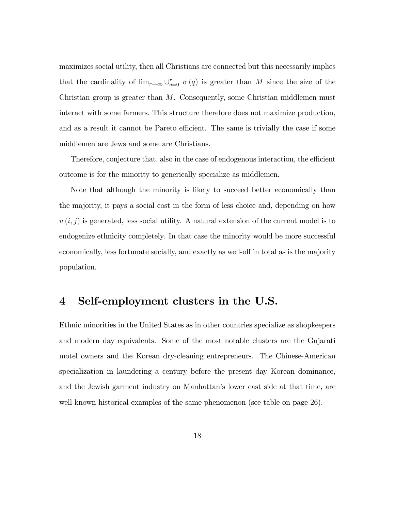maximizes social utility, then all Christians are connected but this necessarily implies that the cardinality of  $\lim_{r\to\infty} \bigcup_{q=0}^r \sigma(q)$  is greater than M since the size of the Christian group is greater than  $M$ . Consequently, some Christian middlemen must interact with some farmers. This structure therefore does not maximize production, and as a result it cannot be Pareto efficient. The same is trivially the case if some middlemen are Jews and some are Christians.

Therefore, conjecture that, also in the case of endogenous interaction, the efficient outcome is for the minority to generically specialize as middlemen.

Note that although the minority is likely to succeed better economically than the majority, it pays a social cost in the form of less choice and, depending on how  $u(i, j)$  is generated, less social utility. A natural extension of the current model is to endogenize ethnicity completely. In that case the minority would be more successful economically, less fortunate socially, and exactly as well-off in total as is the majority population.

## 4 Self-employment clusters in the U.S.

Ethnic minorities in the United States as in other countries specialize as shopkeepers and modern day equivalents. Some of the most notable clusters are the Gujarati motel owners and the Korean dry-cleaning entrepreneurs. The Chinese-American specialization in laundering a century before the present day Korean dominance, and the Jewish garment industry on Manhattan's lower east side at that time, are well-known historical examples of the same phenomenon (see table on page 26).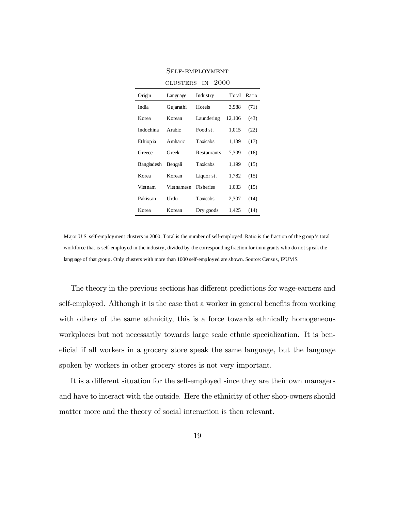| Origin     | Language   | Industry         | Total  | Ratio |
|------------|------------|------------------|--------|-------|
| India      | Gujarathi  | Hotels           | 3,988  | (71)  |
| Korea      | Korean     | Laundering       | 12,106 | (43)  |
| Indochina  | Arabic     | Food st.         | 1,015  | (22)  |
| Ethiopia   | Amharic    | <b>Taxicabs</b>  | 1,139  | (17)  |
| Greece     | Greek      | Restaurants      | 7,309  | (16)  |
| Bangladesh | Bengali    | Taxicabs         | 1,199  | (15)  |
| Korea      | Korean     | Liquor st.       | 1,782  | (15)  |
| Vietnam    | Vietnamese | <b>Fisheries</b> | 1,033  | (15)  |
| Pakistan   | Urdu       | <b>Taxicabs</b>  | 2,307  | (14)  |
| Korea      | Korean     | Dry goods        | 1,425  | (14)  |

Self-employment clusters in 2000

Major U.S. self-employment clusters in 2000. Total is the number of self-employed. Ratio is the fraction of the group's total workforce that is self-employed in the industry, divided by the corresponding fraction for immigrants who do not speak the language of that group. Only clusters with more than 1000 self-employed are shown. Source: Census, IPUMS.

The theory in the previous sections has different predictions for wage-earners and self-employed. Although it is the case that a worker in general benefits from working with others of the same ethnicity, this is a force towards ethnically homogeneous workplaces but not necessarily towards large scale ethnic specialization. It is beneficial if all workers in a grocery store speak the same language, but the language spoken by workers in other grocery stores is not very important.

It is a different situation for the self-employed since they are their own managers and have to interact with the outside. Here the ethnicity of other shop-owners should matter more and the theory of social interaction is then relevant.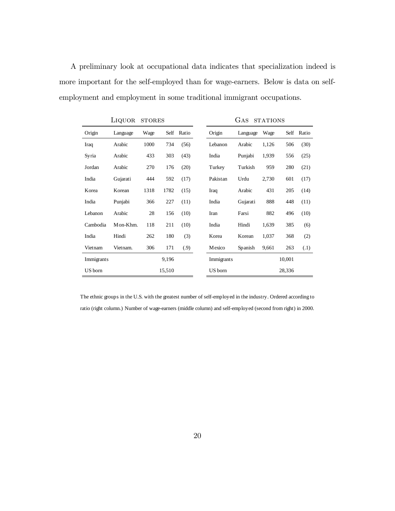A preliminary look at occupational data indicates that specialization indeed is more important for the self-employed than for wage-earners. Below is data on selfemployment and employment in some traditional immigrant occupations.

|            | LIQUOR   | <b>STORES</b> |        |            | GAS<br><b>STATIONS</b> |            |          |       |        |            |
|------------|----------|---------------|--------|------------|------------------------|------------|----------|-------|--------|------------|
| Origin     | Language | Wage          |        | Self Ratio |                        | Origin     | Language | Wage  |        | Self Ratio |
| Iraq       | Arabic   | 1000          | 734    | (56)       |                        | Lebanon    | Arabic   | 1,126 | 506    | (30)       |
| Syria      | Arabic   | 433           | 303    | (43)       |                        | India      | Punjabi  | 1,939 | 556    | (25)       |
| Jordan     | Arabic   | 270           | 176    | (20)       |                        | Turkey     | Turkish  | 959   | 280    | (21)       |
| India      | Gujarati | 444           | 592    | (17)       |                        | Pakistan   | Urdu     | 2,730 | 601    | (17)       |
| Korea      | Korean   | 1318          | 1782   | (15)       |                        | Iraq       | Arabic   | 431   | 205    | (14)       |
| India      | Punjabi  | 366           | 227    | (11)       |                        | India      | Gujarati | 888   | 448    | (11)       |
| Lebanon    | Arabic   | 28            | 156    | (10)       |                        | Iran       | Farsi    | 882   | 496    | (10)       |
| Cambodia   | Mon-Khm. | 118           | 211    | (10)       |                        | India      | Hindi    | 1,639 | 385    | (6)        |
| India      | Hindi    | 262           | 180    | (3)        |                        | Korea      | Korean   | 1,037 | 368    | (2)        |
| Vietnam    | Vietnam. | 306           | 171    | (.9)       |                        | Mexico     | Spanish  | 9,661 | 263    | (.1)       |
| Immigrants |          |               | 9,196  |            |                        | Immigrants |          |       | 10,001 |            |
| US born    |          |               | 15,510 |            |                        | US born    |          |       | 28,336 |            |

The ethnic groups in the U.S. with the greatest number of self-employed in the industry. Ordered according to ratio (right column.) Number of wage-earners (middle column) and self-employed (second from right) in 2000.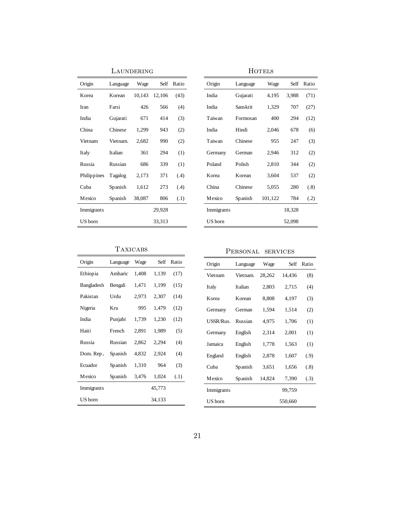|             | LAUNDERING |        |        |       |            |     |
|-------------|------------|--------|--------|-------|------------|-----|
| Origin      | Language   | Wage   | Self   | Ratio | Origin     | La  |
| Korea       | Korean     | 10,143 | 12,106 | (43)  | India      | Gu  |
| Iran        | Farsi      | 426    | 566    | (4)   | India      | Sai |
| India       | Gujarati   | 671    | 414    | (3)   | Taiwan     | Fo  |
| China       | Chinese    | 1,299  | 943    | (2)   | India      | Hi  |
| Vietnam     | Vietnam.   | 2,682  | 990    | (2)   | Taiwan     | Ch  |
| Italy       | Italian    | 361    | 294    | (1)   | Germany    | Ge  |
| Russia      | Russian    | 686    | 339    | (1)   | Poland     | Po  |
| Philippines | Tagalog    | 2,173  | 371    | (.4)  | Korea      | Ko  |
| Cuba        | Spanish    | 1,612  | 273    | (.4)  | China      | Ch  |
| Mexico      | Spanish    | 38,087 | 806    | (.1)  | Mexico     | Sp  |
| Immigrants  |            |        | 29,928 |       | Immigrants |     |
| US born     |            |        | 33,313 |       | US born    |     |

|            | <b>HOTELS</b> |         |        |       |  |  |  |  |  |
|------------|---------------|---------|--------|-------|--|--|--|--|--|
| Origin     | Language      | Wage    | Self   | Ratio |  |  |  |  |  |
| India      | Gujarati      | 4,195   | 3,988  | (71)  |  |  |  |  |  |
| India      | Sanskrit      | 1,329   | 707    | (27)  |  |  |  |  |  |
| Taiwan     | Formosan      | 400     | 294    | (12)  |  |  |  |  |  |
| India      | Hindi         | 2,046   | 678    | (6)   |  |  |  |  |  |
| Taiwan     | Chinese       | 955     | 247    | (3)   |  |  |  |  |  |
| Germany    | German        | 2,946   | 312    | (2)   |  |  |  |  |  |
| Poland     | Polish        | 2,810   | 344    | (2)   |  |  |  |  |  |
| Korea      | Korean        | 3,604   | 537    | (2)   |  |  |  |  |  |
| China      | Chinese       | 5,055   | 280    | (.8)  |  |  |  |  |  |
| Mexico     | Spanish       | 101,122 | 784    | (.2)  |  |  |  |  |  |
| Immigrants |               |         | 18,328 |       |  |  |  |  |  |
| US born    |               |         | 52,098 |       |  |  |  |  |  |

#### Taxicabs

| Origin         | Language | Wage  | Self   | Ratio |
|----------------|----------|-------|--------|-------|
| Ethiopia       | Amharic  | 1,408 | 1,139  | (17)  |
| Bangladesh     | Bengali  | 1,471 | 1,199  | (15)  |
| Pakistan       | Urdu     | 2,973 | 2,307  | (14)  |
| Nigeria        | Kru      | 995   | 1,479  | (12)  |
| India          | Punjabi  | 1,739 | 1,230  | (12)  |
| Haiti          | French   | 2,891 | 1,989  | (5)   |
| Russia         | Russian  | 2,862 | 2,294  | (4)   |
| Dom. Rep.      | Spanish  | 4,832 | 2,924  | (4)   |
| Ecuador        | Spanish  | 1,310 | 964    | (3)   |
| <b>M</b> exico | Spanish  | 3,476 | 1,024  | (.1)  |
| Immigrants     |          |       | 45,773 |       |
| US born        |          |       | 34,133 |       |

## Personal services

| Origin     | Language | Wage   | Self    | Ratio |
|------------|----------|--------|---------|-------|
| Vietnam    | Vietnam. | 28,262 | 14,436  | (8)   |
|            |          |        |         |       |
| Italy      | Italian  | 2,803  | 2,715   | (4)   |
| Korea      | Korean   | 8,808  | 4,197   | (3)   |
| Germany    | German   | 1,594  | 1,514   | (2)   |
| USSR/Rus.  | Russian  | 4,975  | 1,706   | (1)   |
| Germany    | English  | 2,314  | 2,001   | (1)   |
| Jamaica    | English  | 1,778  | 1,563   | (1)   |
| England    | English  | 2,878  | 1,607   | (.9)  |
| Cuba       | Spanish  | 3,651  | 1,656   | (.8)  |
| Mexico     | Spanish  | 14,824 | 7,390   | (.3)  |
| Immigrants |          |        | 99,759  |       |
| US born    |          |        | 550,660 |       |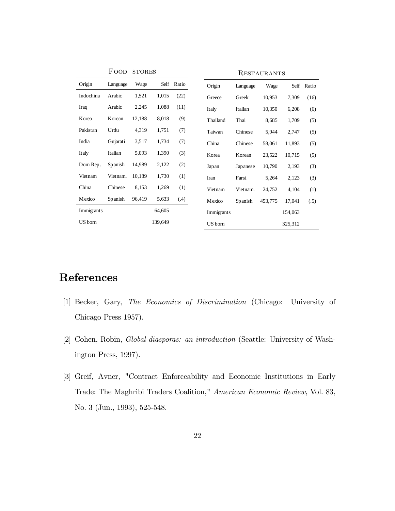|            | FOOD     | <b>STORES</b> |         |            | RESTAURANTS |          |         |         |       |
|------------|----------|---------------|---------|------------|-------------|----------|---------|---------|-------|
| Origin     | Language | Wage          |         | Self Ratio | Origin      | Language | Wage    | Self    | Ratio |
| Indochina  | Arabic   | 1,521         | 1,015   | (22)       | Greece      | Greek    | 10,953  | 7,309   | (16)  |
| Iraq       | Arabic   | 2,245         | 1,088   | (11)       | Italy       | Italian  | 10,350  | 6,208   | (6)   |
| Korea      | Korean   | 12,188        | 8,018   | (9)        | Thailand    | Thai     | 8,685   | 1,709   | (5)   |
| Pakistan   | Urdu     | 4,319         | 1,751   | (7)        | Taiwan      | Chinese  | 5,944   | 2,747   | (5)   |
| India      | Gujarati | 3,517         | 1,734   | (7)        | China       | Chinese  | 58,061  | 11,893  | (5)   |
| Italy      | Italian  | 5,093         | 1,390   | (3)        | Korea       | Korean   | 23,522  | 10,715  | (5)   |
| Dom Rep.   | Spanish  | 14,989        | 2,122   | (2)        | Japan       | Japanese | 10,790  | 2,193   | (3)   |
| Vietnam    | Vietnam. | 10,189        | 1,730   | (1)        | Iran        | Farsi    | 5,264   | 2,123   | (3)   |
| China      | Chinese  | 8.153         | 1,269   | (1)        | Vietnam     | Vietnam. | 24,752  | 4,104   | (1)   |
| Mexico     | Spanish  | 96,419        | 5,633   | (.4)       | Mexico      | Spanish  | 453,775 | 17,041  | (.5)  |
| Immigrants |          |               | 64,605  |            | Immigrants  |          |         | 154,063 |       |
| US born    |          |               | 139,649 |            | US born     |          |         | 325,312 |       |

# References

- [1] Becker, Gary, The Economics of Discrimination (Chicago: University of Chicago Press 1957).
- [2] Cohen, Robin, Global diasporas: an introduction (Seattle: University of Washington Press, 1997).
- [3] Greif, Avner, "Contract Enforceability and Economic Institutions in Early Trade: The Maghribi Traders Coalition," American Economic Review, Vol. 83, No. 3 (Jun., 1993), 525-548.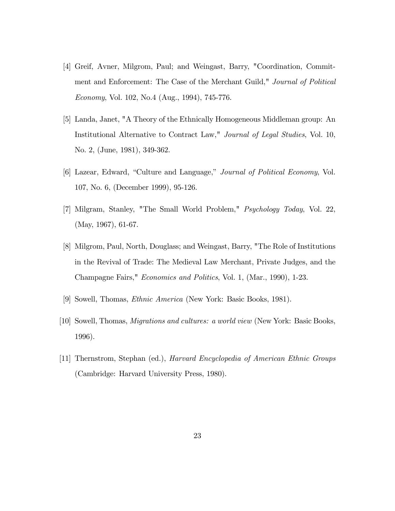- [4] Greif, Avner, Milgrom, Paul; and Weingast, Barry, "Coordination, Commitment and Enforcement: The Case of the Merchant Guild," Journal of Political Economy, Vol. 102, No.4 (Aug., 1994), 745-776.
- [5] Landa, Janet, "A Theory of the Ethnically Homogeneous Middleman group: An Institutional Alternative to Contract Law," Journal of Legal Studies, Vol. 10, No. 2, (June, 1981), 349-362.
- [6] Lazear, Edward, "Culture and Language," *Journal of Political Economy*, Vol. 107, No. 6, (December 1999), 95-126.
- [7] Milgram, Stanley, "The Small World Problem," Psychology Today, Vol. 22, (May, 1967), 61-67.
- [8] Milgrom, Paul, North, Douglass; and Weingast, Barry, "The Role of Institutions in the Revival of Trade: The Medieval Law Merchant, Private Judges, and the Champagne Fairs," Economics and Politics, Vol. 1, (Mar., 1990), 1-23.
- [9] Sowell, Thomas, Ethnic America (New York: Basic Books, 1981).
- [10] Sowell, Thomas, Migrations and cultures: a world view (New York: Basic Books, 1996).
- [11] Thernstrom, Stephan (ed.), Harvard Encyclopedia of American Ethnic Groups (Cambridge: Harvard University Press, 1980).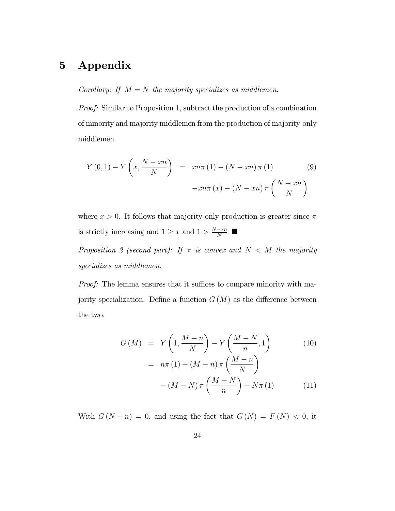# 5 Appendix

Corollary: If  $M = N$  the majority specializes as middlemen.

Proof: Similar to Proposition 1, subtract the production of a combination of minority and majority middlemen from the production of majority-only middlemen.

$$
Y(0,1) - Y\left(x, \frac{N-xn}{N}\right) = xn\pi(1) - (N-xn)\pi(1)
$$
\n
$$
-xn\pi(x) - (N-xn)\pi\left(\frac{N-xn}{N}\right)
$$
\n(9)

where  $x > 0$ . It follows that majority-only production is greater since  $\pi$ is strictly increasing and  $1 \ge x$  and  $1 > \frac{N-xn}{N}$ 

Proposition 2 (second part): If  $\pi$  is convex and  $N < M$  the majority specializes as middlemen.

Proof: The lemma ensures that it suffices to compare minority with majority specialization. Define a function  $G(M)$  as the difference between the two.

$$
G(M) = Y\left(1, \frac{M-n}{N}\right) - Y\left(\frac{M-N}{n}, 1\right) \tag{10}
$$

$$
= n\pi (1) + (M-n)\pi \left(\frac{M-n}{N}\right)
$$

$$
- (M-N)\pi \left(\frac{M-N}{n}\right) - N\pi (1) \tag{11}
$$

With  $G(N + n) = 0$ , and using the fact that  $G(N) = F(N) < 0$ , it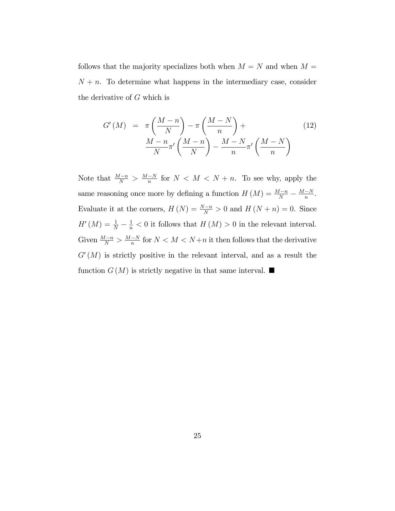follows that the majority specializes both when  $M = N$  and when  $M =$  $N + n$ . To determine what happens in the intermediary case, consider the derivative of G which is

$$
G'(M) = \pi \left(\frac{M-n}{N}\right) - \pi \left(\frac{M-N}{n}\right) +
$$
  

$$
\frac{M-n}{N} \pi' \left(\frac{M-n}{N}\right) - \frac{M-N}{n} \pi' \left(\frac{M-N}{n}\right)
$$
 (12)

Note that  $\frac{M-n}{N} > \frac{M-N}{n}$  for  $N < M < N+n$ . To see why, apply the same reasoning once more by defining a function  $H(M) = \frac{M-n}{N} - \frac{M-N}{n}$ . Evaluate it at the corners,  $H(N) = \frac{N-n}{N} > 0$  and  $H(N+n) = 0$ . Since  $H'(M) = \frac{1}{N} - \frac{1}{n} < 0$  it follows that  $H(M) > 0$  in the relevant interval. Given  $\frac{M-n}{N} > \frac{M-N}{n}$  for  $N < M < N+n$  it then follows that the derivative  $G'(M)$  is strictly positive in the relevant interval, and as a result the function  $G(M)$  is strictly negative in that same interval.